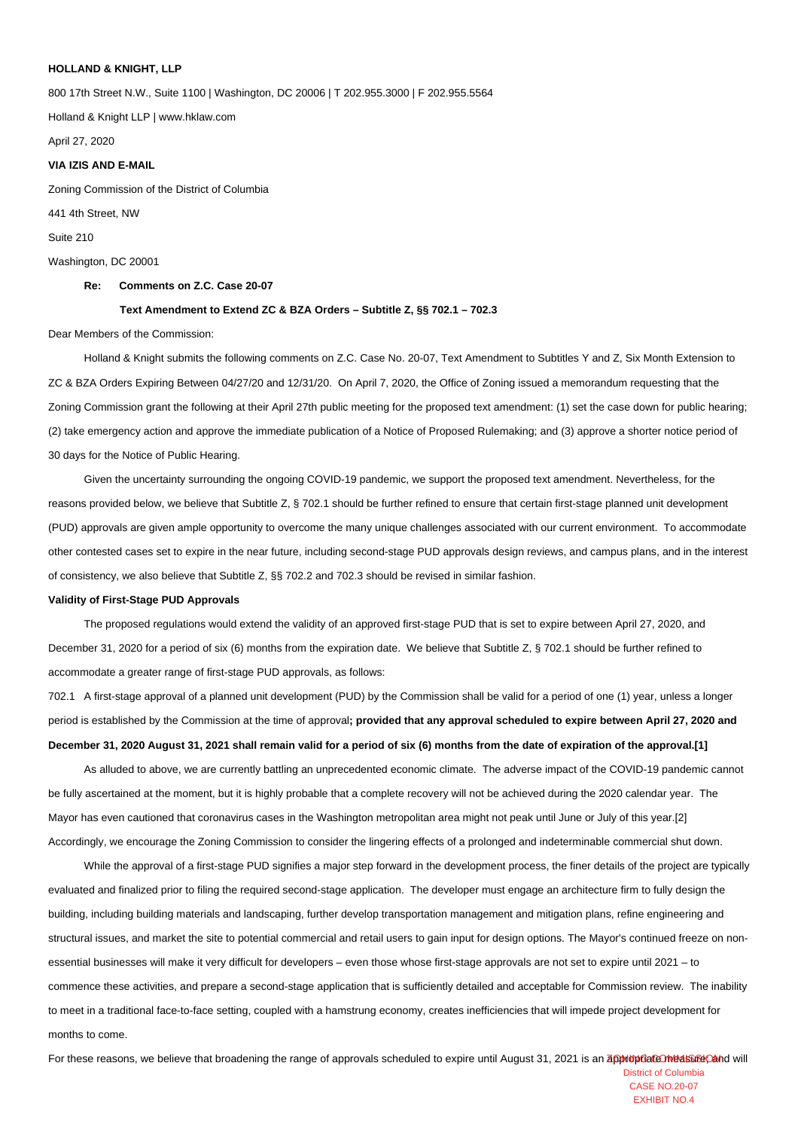## **HOLLAND & KNIGHT, LLP**

800 17th Street N.W., Suite 1100 | Washington, DC 20006 | T 202.955.3000 | F 202.955.5564

Holland & Knight LLP | www.hklaw.com

April 27, 2020

#### **VIA IZIS AND E-MAIL**

Zoning Commission of the District of Columbia

441 4th Street, NW

Suite 210

Washington, DC 20001

### **Re: Comments on Z.C. Case 20-07**

### **Text Amendment to Extend ZC & BZA Orders – Subtitle Z, §§ 702.1 – 702.3**

#### Dear Members of the Commission:

 Holland & Knight submits the following comments on Z.C. Case No. 20-07, Text Amendment to Subtitles Y and Z, Six Month Extension to ZC & BZA Orders Expiring Between 04/27/20 and 12/31/20. On April 7, 2020, the Office of Zoning issued a memorandum requesting that the Zoning Commission grant the following at their April 27th public meeting for the proposed text amendment: (1) set the case down for public hearing; (2) take emergency action and approve the immediate publication of a Notice of Proposed Rulemaking; and (3) approve a shorter notice period of 30 days for the Notice of Public Hearing.

 Given the uncertainty surrounding the ongoing COVID-19 pandemic, we support the proposed text amendment. Nevertheless, for the reasons provided below, we believe that Subtitle Z, § 702.1 should be further refined to ensure that certain first-stage planned unit development (PUD) approvals are given ample opportunity to overcome the many unique challenges associated with our current environment. To accommodate other contested cases set to expire in the near future, including second-stage PUD approvals design reviews, and campus plans, and in the interest of consistency, we also believe that Subtitle Z, §§ 702.2 and 702.3 should be revised in similar fashion.

## **Validity of First-Stage PUD Approvals**

 The proposed regulations would extend the validity of an approved first-stage PUD that is set to expire between April 27, 2020, and December 31, 2020 for a period of six (6) months from the expiration date. We believe that Subtitle Z, § 702.1 should be further refined to accommodate a greater range of first-stage PUD approvals, as follows:

702.1 A first-stage approval of a planned unit development (PUD) by the Commission shall be valid for a period of one (1) year, unless a longer period is established by the Commission at the time of approval**; provided that any approval scheduled to expire between April 27, 2020 and December 31, 2020 August 31, 2021 shall remain valid for a period of six (6) months from the date of expiration of the approval.[\[1\]](#_ftn1)**

 As alluded to above, we are currently battling an unprecedented economic climate. The adverse impact of the COVID-19 pandemic cannot be fully ascertained at the moment, but it is highly probable that a complete recovery will not be achieved during the 2020 calendar year. The Mayor has even cautioned that coronavirus cases in the Washington metropolitan area might not peak until June or July of this year[.\[2\]](#_ftn2) Accordingly, we encourage the Zoning Commission to consider the lingering effects of a prolonged and indeterminable commercial shut down.

While the approval of a first-stage PUD signifies a major step forward in the development process, the finer details of the project are typically evaluated and finalized prior to filing the required second-stage application. The developer must engage an architecture firm to fully design the building, including building materials and landscaping, further develop transportation management and mitigation plans, refine engineering and structural issues, and market the site to potential commercial and retail users to gain input for design options. The Mayor's continued freeze on nonessential businesses will make it very difficult for developers – even those whose first-stage approvals are not set to expire until 2021 – to commence these activities, and prepare a second-stage application that is sufficiently detailed and acceptable for Commission review. The inability to meet in a traditional face-to-face setting, coupled with a hamstrung economy, creates inefficiencies that will impede project development for months to come.

For these reasons, we believe that broadening the range of approvals scheduled to expire until August 31, 2021 is an appropriate measure case of and will

District of Columbia CASE NO.20-07 EXHIBIT NO.4